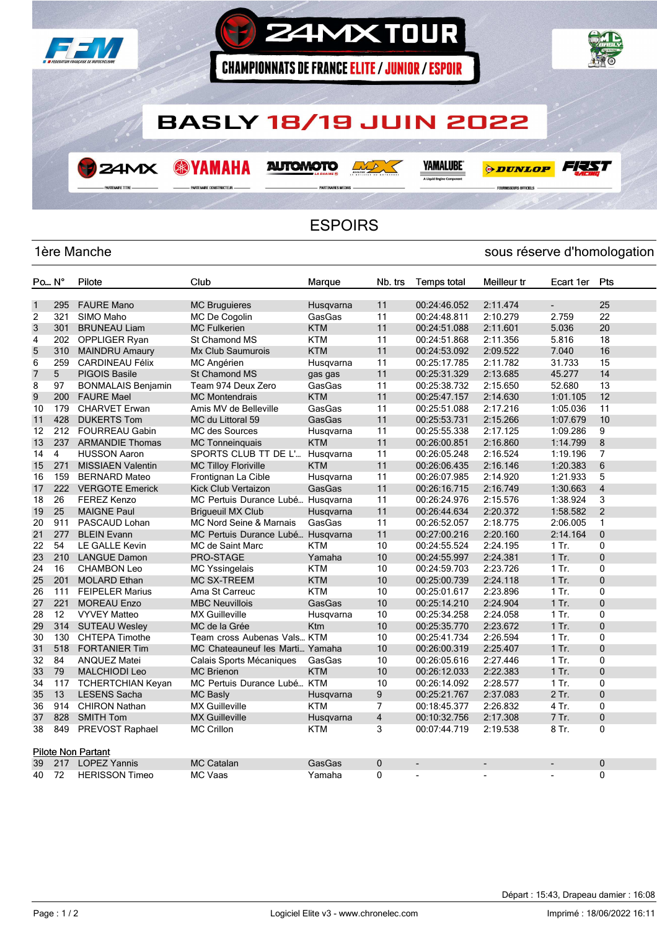

## **ESPOIRS**

## 1ère Manche sous réserve d'homologation

| $Po_{m}$ . $N^{\circ}$    |            | Pilote                    | Club                              | Marque     | Nb. trs | <b>Temps total</b> | Meilleur tr | Ecart 1er                         | Pts            |  |
|---------------------------|------------|---------------------------|-----------------------------------|------------|---------|--------------------|-------------|-----------------------------------|----------------|--|
|                           |            |                           |                                   |            |         |                    |             |                                   |                |  |
| $\mathbf{1}$              | 295<br>321 | <b>FAURE Mano</b>         | <b>MC Bruguieres</b>              | Husqvarna  | 11      | 00:24:46.052       | 2:11.474    | $\overline{\phantom{0}}$<br>2.759 | 25<br>22       |  |
| 2                         |            | SIMO Maho                 | MC De Cogolin                     | GasGas     | 11      | 00:24:48.811       | 2:10.279    |                                   |                |  |
| 3                         | 301        | <b>BRUNEAU Liam</b>       | <b>MC Fulkerien</b>               | <b>KTM</b> | 11      | 00:24:51.088       | 2:11.601    | 5.036                             | 20<br>18       |  |
| 4                         | 202        | OPPLIGER Ryan             | <b>St Chamond MS</b>              | <b>KTM</b> | 11      | 00:24:51.868       | 2:11.356    | 5.816                             | 16             |  |
| 5                         | 310        | <b>MAINDRU Amaury</b>     | Mx Club Saumurois                 | <b>KTM</b> | 11      | 00:24:53.092       | 2:09.522    | 7.040                             |                |  |
| 6                         | 259        | <b>CARDINEAU Félix</b>    | MC Angérien                       | Husqvarna  | 11      | 00:25:17.785       | 2:11.782    | 31.733                            | 15             |  |
| 7                         | 5          | <b>PIGOIS Basile</b>      | <b>St Chamond MS</b>              | gas gas    | 11      | 00:25:31.329       | 2:13.685    | 45.277                            | 14             |  |
| 8                         | 97         | <b>BONMALAIS Benjamin</b> | Team 974 Deux Zero                | GasGas     | 11      | 00:25:38.732       | 2:15.650    | 52.680                            | 13             |  |
| 9                         | 200        | <b>FAURE Mael</b>         | <b>MC Montendrais</b>             | <b>KTM</b> | 11      | 00:25:47.157       | 2:14.630    | 1:01.105                          | 12             |  |
| 10                        | 179        | <b>CHARVET Erwan</b>      | Amis MV de Belleville             | GasGas     | 11      | 00:25:51.088       | 2:17.216    | 1:05.036                          | 11             |  |
| 11                        | 428        | <b>DUKERTS Tom</b>        | MC du Littoral 59                 | GasGas     | 11      | 00:25:53.731       | 2:15.266    | 1:07.679                          | 10             |  |
| 12                        | 212        | <b>FOURREAU Gabin</b>     | <b>MC des Sources</b>             | Husgvarna  | 11      | 00:25:55.338       | 2:17.125    | 1:09.286                          | 9              |  |
| 13                        | 237        | <b>ARMANDIE Thomas</b>    | <b>MC</b> Tonneinguais            | <b>KTM</b> | 11      | 00:26:00.851       | 2:16.860    | 1:14.799                          | 8              |  |
| 14                        | 4          | <b>HUSSON Aaron</b>       | SPORTS CLUB TT DE L'              | Husqvarna  | 11      | 00:26:05.248       | 2:16.524    | 1:19.196                          | $\overline{7}$ |  |
| 15                        | 271        | <b>MISSIAEN Valentin</b>  | <b>MC Tilloy Floriville</b>       | <b>KTM</b> | 11      | 00:26:06.435       | 2:16.146    | 1:20.383                          | 6              |  |
| 16                        | 159        | <b>BERNARD Mateo</b>      | Frontignan La Cible               | Husgvarna  | 11      | 00:26:07.985       | 2:14.920    | 1:21.933                          | 5              |  |
| 17                        | 222        | <b>VERGOTE Emerick</b>    | Kick Club Vertaizon               | GasGas     | 11      | 00:26:16.715       | 2:16.749    | 1:30.663                          | $\overline{4}$ |  |
| 18                        | 26         | <b>FEREZ Kenzo</b>        | MC Pertuis Durance Lubé Husqvarna |            | 11      | 00:26:24.976       | 2:15.576    | 1:38.924                          | 3              |  |
| 19                        | 25         | <b>MAIGNE Paul</b>        | <b>Brigueuil MX Club</b>          | Husqvarna  | 11      | 00:26:44.634       | 2:20.372    | 1:58.582                          | 2              |  |
| 20                        | 911        | PASCAUD Lohan             | MC Nord Seine & Marnais           | GasGas     | 11      | 00:26:52.057       | 2:18.775    | 2:06.005                          | $\mathbf{1}$   |  |
| 21                        | 277        | <b>BLEIN Evann</b>        | MC Pertuis Durance Lubé Husqvarna |            | 11      | 00:27:00.216       | 2:20.160    | 2:14.164                          | $\mathbf{0}$   |  |
| 22                        | 54         | <b>LE GALLE Kevin</b>     | <b>MC de Saint Marc</b>           | <b>KTM</b> | 10      | 00:24:55.524       | 2:24.195    | 1 Tr.                             | $\mathbf{0}$   |  |
| 23                        | 210        | <b>LANGUE Damon</b>       | PRO-STAGE                         | Yamaha     | 10      | 00:24:55.997       | 2:24.381    | $1$ Tr.                           | $\mathbf{0}$   |  |
| 24                        | 16         | <b>CHAMBON Leo</b>        | <b>MC Yssingelais</b>             | KTM        | 10      | 00:24:59.703       | 2:23.726    | 1 Tr.                             | $\Omega$       |  |
| 25                        | 201        | <b>MOLARD</b> Ethan       | <b>MC SX-TREEM</b>                | <b>KTM</b> | 10      | 00:25:00.739       | 2:24.118    | $1$ Tr.                           | $\mathbf{0}$   |  |
| 26                        | 111        | <b>FEIPELER Marius</b>    | Ama St Carreuc                    | <b>KTM</b> | 10      | 00:25:01.617       | 2:23.896    | 1 Tr.                             | $\mathbf{0}$   |  |
| 27                        | 221        | <b>MOREAU Enzo</b>        | <b>MBC Neuvillois</b>             | GasGas     | 10      | 00:25:14.210       | 2:24.904    | $1$ Tr.                           | $\Omega$       |  |
| 28                        | 12         | <b>VYVEY Matteo</b>       | <b>MX Guilleville</b>             | Husgvarna  | 10      | 00:25:34.258       | 2:24.058    | 1 Tr.                             | $\Omega$       |  |
| 29                        | 314        | <b>SUTEAU Wesley</b>      | MC de la Grée                     | <b>Ktm</b> | 10      | 00:25:35.770       | 2:23.672    | $1$ Tr.                           | $\mathbf 0$    |  |
| 30                        | 130        | <b>CHTEPA Timothe</b>     | Team cross Aubenas Vals KTM       |            | 10      | 00:25:41.734       | 2:26.594    | $1$ Tr.                           | $\Omega$       |  |
| 31                        | 518        | <b>FORTANIER Tim</b>      | MC Chateauneuf les Marti Yamaha   |            | 10      | 00:26:00.319       | 2:25.407    | $1$ Tr.                           | $\mathbf{0}$   |  |
| 32                        | 84         | <b>ANQUEZ Matei</b>       | Calais Sports Mécaniques          | GasGas     | 10      | 00:26:05.616       | 2:27.446    | 1 Tr.                             | $\mathbf{0}$   |  |
| 33                        | 79         | <b>MALCHIODI Leo</b>      | <b>MC Brienon</b>                 | <b>KTM</b> | 10      | 00:26:12.033       | 2:22.383    | $1$ Tr.                           | $\mathbf 0$    |  |
| 34                        | 117        | <b>TCHERTCHIAN Keyan</b>  | MC Pertuis Durance Lubé KTM       |            | 10      | 00:26:14.092       | 2:28.577    | $1$ Tr.                           | $\Omega$       |  |
| 35                        | 13         | <b>LESENS Sacha</b>       | <b>MC Basly</b>                   | Husgvarna  | 9       | 00:25:21.767       | 2:37.083    | 2 Tr.                             | $\Omega$       |  |
| 36                        | 914        | <b>CHIRON Nathan</b>      | <b>MX Guilleville</b>             | <b>KTM</b> | 7       | 00:18:45.377       | 2:26.832    | 4 Tr.                             | $\mathbf{0}$   |  |
| 37                        | 828        | <b>SMITH Tom</b>          | <b>MX Guilleville</b>             | Husqvarna  | 4       | 00:10:32.756       | 2:17.308    | 7 Tr.                             | $\Omega$       |  |
| 38                        | 849        | PREVOST Raphael           | <b>MC Crillon</b>                 | <b>KTM</b> | 3       | 00:07:44.719       | 2:19.538    | 8 Tr.                             | $\Omega$       |  |
| <b>Pilote Non Partant</b> |            |                           |                                   |            |         |                    |             |                                   |                |  |
| 39                        | 217        | <b>LOPEZ Yannis</b>       | <b>MC Catalan</b>                 | GasGas     | 0       | ۰                  |             |                                   | $\mathbf 0$    |  |
| 40                        | 72         | <b>HERISSON Timeo</b>     | <b>MC Vaas</b>                    | Yamaha     | 0       | L.                 |             |                                   | $\mathbf{0}$   |  |